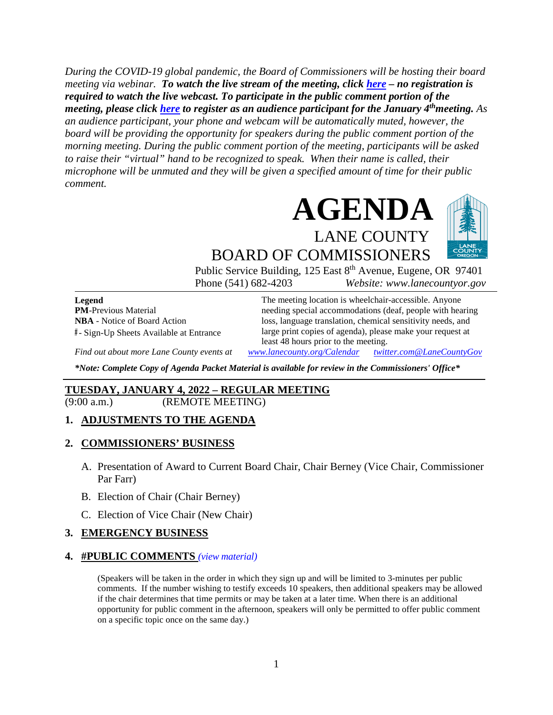*During the COVID-19 global pandemic, the Board of Commissioners will be hosting their board meeting via webinar. To watch the live stream of the meeting, click [here](https://lanecounty.org/cms/One.aspx?portalId=3585881&pageId=7842434) – no registration is required to watch the live webcast. To participate in the public comment portion of the meeting, please click [here](https://us06web.zoom.us/webinar/register/WN_BHCo_702QteJj5F9BrtXyA) to register as an audience participant for the January 4thmeeting. As an audience participant, your phone and webcam will be automatically muted, however, the board will be providing the opportunity for speakers during the public comment portion of the morning meeting. During the public comment portion of the meeting, participants will be asked to raise their "virtual" hand to be recognized to speak. When their name is called, their microphone will be unmuted and they will be given a specified amount of time for their public comment.* 





BOARD OF COMMISSIONERS Public Service Building, 125 East 8<sup>th</sup> Avenue, Eugene, OR 97401

Phone (541) 682-4203 *Website: www.lanecountyor.gov*

**Legend PM**-Previous Material **NBA** - Notice of Board Action **#** - Sign-Up Sheets Available at Entrance

The meeting location is wheelchair-accessible. Anyone needing special accommodations (deaf, people with hearing loss, language translation, chemical sensitivity needs, and large print copies of agenda), please make your request at least 48 hours prior to the meeting.

*Find out about more Lane County events at [www.lanecounty.org/Calendar](http://www.lanecounty.org/Calendar) [twitter.com@LaneCountyGov](https://twitter.com/lanecountygov?lang=en)*

*\*Note: Complete Copy of Agenda Packet Material is available for review in the Commissioners' Office\**

#### **TUESDAY, JANUARY 4, 2022 – REGULAR MEETING**

(9:00 a.m.) (REMOTE MEETING)

#### **1. ADJUSTMENTS TO THE AGENDA**

#### **2. COMMISSIONERS' BUSINESS**

- A. Presentation of Award to Current Board Chair, Chair Berney (Vice Chair, Commissioner Par Farr)
- B. Election of Chair (Chair Berney)
- C. Election of Vice Chair (New Chair)

#### **3. EMERGENCY BUSINESS**

#### **4. #PUBLIC COMMENTS** *(view [material\)](http://www.lanecountyor.gov/UserFiles/Servers/Server_3585797/File/Government/BCC/2022/2022_AGENDAS/010422agenda/T.4.pdf)*

(Speakers will be taken in the order in which they sign up and will be limited to 3-minutes per public comments. If the number wishing to testify exceeds 10 speakers, then additional speakers may be allowed if the chair determines that time permits or may be taken at a later time. When there is an additional opportunity for public comment in the afternoon, speakers will only be permitted to offer public comment on a specific topic once on the same day.)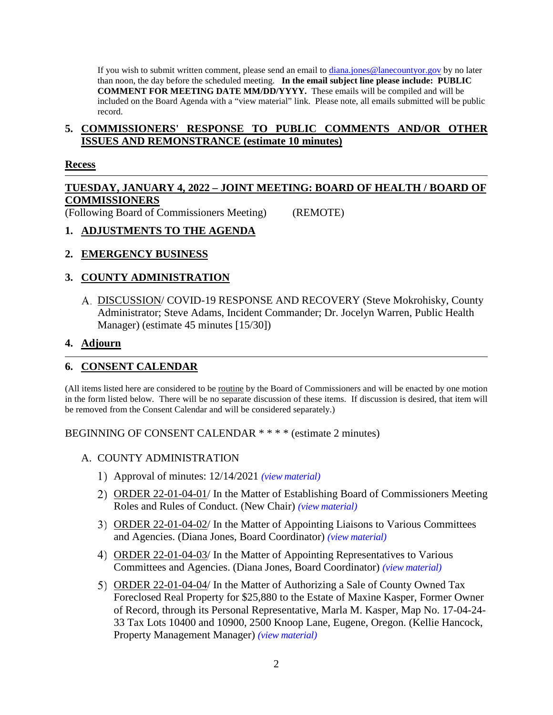If you wish to submit written comment, please send an email to [diana.jones@lanecountyor.gov](mailto:diana.jones@lanecountyor.gov) by no later than noon, the day before the scheduled meeting. **In the email subject line please include: PUBLIC COMMENT FOR MEETING DATE MM/DD/YYYY.** These emails will be compiled and will be included on the Board Agenda with a "view material" link. Please note, all emails submitted will be public record.

### **5. COMMISSIONERS' RESPONSE TO PUBLIC COMMENTS AND/OR OTHER ISSUES AND REMONSTRANCE (estimate 10 minutes)**

### **Recess**

# **TUESDAY, JANUARY 4, 2022 – JOINT MEETING: BOARD OF HEALTH / BOARD OF COMMISSIONERS**

(Following Board of Commissioners Meeting) (REMOTE)

## **1. ADJUSTMENTS TO THE AGENDA**

# **2. EMERGENCY BUSINESS**

# **3. COUNTY ADMINISTRATION**

DISCUSSION/ COVID-19 RESPONSE AND RECOVERY (Steve Mokrohisky, County Administrator; Steve Adams, Incident Commander; Dr. Jocelyn Warren, Public Health Manager) (estimate 45 minutes [15/30])

### **4. Adjourn**

# **6. CONSENT CALENDAR**

(All items listed here are considered to be routine by the Board of Commissioners and will be enacted by one motion in the form listed below. There will be no separate discussion of these items. If discussion is desired, that item will be removed from the Consent Calendar and will be considered separately.)

BEGINNING OF CONSENT CALENDAR \* \* \* \* (estimate 2 minutes)

### A. COUNTY ADMINISTRATION

- Approval of minutes: 12/14/2021 *(view [material\)](http://www.lanecountyor.gov/UserFiles/Servers/Server_3585797/File/Government/BCC/2022/2022_AGENDAS/010422agenda/T.6.A.1.pdf)*
- 2) ORDER 22-01-04-01/ In the Matter of Establishing Board of Commissioners Meeting Roles and Rules of Conduct. (New Chair) *(view [material\)](http://www.lanecountyor.gov/UserFiles/Servers/Server_3585797/File/Government/BCC/2022/2022_AGENDAS/010422agenda/T.6.A.2.pdf)*
- ORDER 22-01-04-02/ In the Matter of Appointing Liaisons to Various Committees and Agencies. (Diana Jones, Board Coordinator) *(view [material\)](http://www.lanecountyor.gov/UserFiles/Servers/Server_3585797/File/Government/BCC/2022/2022_AGENDAS/010422agenda/T.6.A.3.pdf)*
- ORDER 22-01-04-03/ In the Matter of Appointing Representatives to Various Committees and Agencies. (Diana Jones, Board Coordinator) *(view [material\)](http://www.lanecountyor.gov/UserFiles/Servers/Server_3585797/File/Government/BCC/2022/2022_AGENDAS/010422agenda/T.6.A.4.pdf)*
- ORDER 22-01-04-04/ In the Matter of Authorizing a Sale of County Owned Tax Foreclosed Real Property for \$25,880 to the Estate of Maxine Kasper, Former Owner of Record, through its Personal Representative, Marla M. Kasper, Map No. 17-04-24- 33 Tax Lots 10400 and 10900, 2500 Knoop Lane, Eugene, Oregon. (Kellie Hancock, Property Management Manager) *(view [material\)](http://www.lanecountyor.gov/UserFiles/Servers/Server_3585797/File/Government/BCC/2022/2022_AGENDAS/010422agenda/T.6.A.5.pdf)*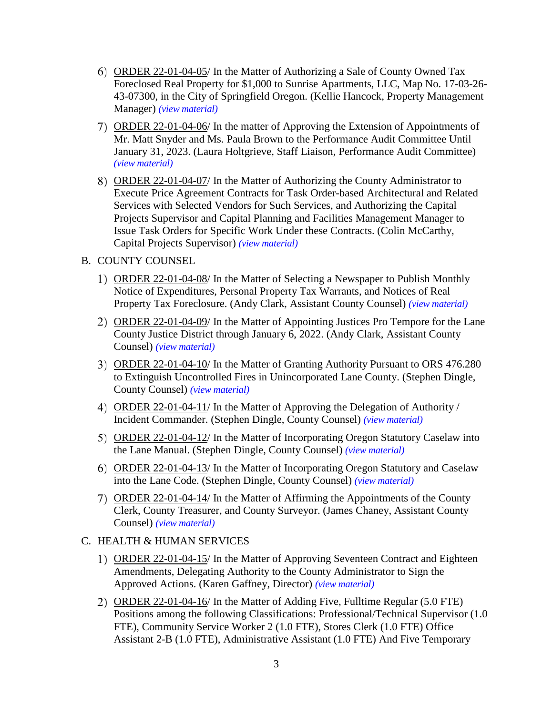- ORDER 22-01-04-05/ In the Matter of Authorizing a Sale of County Owned Tax Foreclosed Real Property for \$1,000 to Sunrise Apartments, LLC, Map No. 17-03-26- 43-07300, in the City of Springfield Oregon. (Kellie Hancock, Property Management Manager) *(view [material\)](http://www.lanecountyor.gov/UserFiles/Servers/Server_3585797/File/Government/BCC/2022/2022_AGENDAS/010422agenda/T.6.A.6.pdf)*
- ORDER 22-01-04-06/ In the matter of Approving the Extension of Appointments of Mr. Matt Snyder and Ms. Paula Brown to the Performance Audit Committee Until January 31, 2023. (Laura Holtgrieve, Staff Liaison, Performance Audit Committee) *(view [material\)](http://www.lanecountyor.gov/UserFiles/Servers/Server_3585797/File/Government/BCC/2022/2022_AGENDAS/010422agenda/T.6.A.7.pdf)*
- ORDER 22-01-04-07/ In the Matter of Authorizing the County Administrator to Execute Price Agreement Contracts for Task Order-based Architectural and Related Services with Selected Vendors for Such Services, and Authorizing the Capital Projects Supervisor and Capital Planning and Facilities Management Manager to Issue Task Orders for Specific Work Under these Contracts. (Colin McCarthy, Capital Projects Supervisor) *(view [material\)](http://www.lanecountyor.gov/UserFiles/Servers/Server_3585797/File/Government/BCC/2022/2022_AGENDAS/010422agenda/T.6.A.8.pdf)*
- B. COUNTY COUNSEL
	- ORDER 22-01-04-08/ In the Matter of Selecting a Newspaper to Publish Monthly Notice of Expenditures, Personal Property Tax Warrants, and Notices of Real Property Tax Foreclosure. (Andy Clark, Assistant County Counsel) *(view [material\)](http://www.lanecountyor.gov/UserFiles/Servers/Server_3585797/File/Government/BCC/2022/2022_AGENDAS/010422agenda/T.6.B.1.pdf)*
	- ORDER 22-01-04-09/ In the Matter of Appointing Justices Pro Tempore for the Lane County Justice District through January 6, 2022. (Andy Clark, Assistant County Counsel) *(view [material\)](http://www.lanecountyor.gov/UserFiles/Servers/Server_3585797/File/Government/BCC/2022/2022_AGENDAS/010422agenda/T.6.B.2.pdf)*
	- ORDER 22-01-04-10/ In the Matter of Granting Authority Pursuant to ORS 476.280 to Extinguish Uncontrolled Fires in Unincorporated Lane County. (Stephen Dingle, County Counsel) *(view [material\)](http://www.lanecountyor.gov/UserFiles/Servers/Server_3585797/File/Government/BCC/2022/2022_AGENDAS/010422agenda/T.6.B.3.pdf)*
	- ORDER 22-01-04-11/ In the Matter of Approving the Delegation of Authority / Incident Commander. (Stephen Dingle, County Counsel) *(view [material\)](http://www.lanecountyor.gov/UserFiles/Servers/Server_3585797/File/Government/BCC/2022/2022_AGENDAS/010422agenda/T.6.B.4.pdf)*
	- ORDER 22-01-04-12/ In the Matter of Incorporating Oregon Statutory Caselaw into the Lane Manual. (Stephen Dingle, County Counsel) *(view [material\)](http://www.lanecountyor.gov/UserFiles/Servers/Server_3585797/File/Government/BCC/2022/2022_AGENDAS/010422agenda/T.6.B.5.pdf)*
	- ORDER 22-01-04-13/ In the Matter of Incorporating Oregon Statutory and Caselaw into the Lane Code. (Stephen Dingle, County Counsel) *(view [material\)](http://www.lanecountyor.gov/UserFiles/Servers/Server_3585797/File/Government/BCC/2022/2022_AGENDAS/010422agenda/T.6.B.6.pdf)*
	- ORDER 22-01-04-14/ In the Matter of Affirming the Appointments of the County Clerk, County Treasurer, and County Surveyor. (James Chaney, Assistant County Counsel) *(view [material\)](http://www.lanecountyor.gov/UserFiles/Servers/Server_3585797/File/Government/BCC/2022/2022_AGENDAS/010422agenda/T.6.B.7.pdf)*
- C. HEALTH & HUMAN SERVICES
	- ORDER 22-01-04-15/ In the Matter of Approving Seventeen Contract and Eighteen Amendments, Delegating Authority to the County Administrator to Sign the Approved Actions. (Karen Gaffney, Director) *(view [material\)](http://www.lanecountyor.gov/UserFiles/Servers/Server_3585797/File/Government/BCC/2022/2022_AGENDAS/010422agenda/T.6.C.1.pdf)*
	- ORDER 22-01-04-16/ In the Matter of Adding Five, Fulltime Regular (5.0 FTE) Positions among the following Classifications: Professional/Technical Supervisor (1.0 FTE), Community Service Worker 2 (1.0 FTE), Stores Clerk (1.0 FTE) Office Assistant 2-B (1.0 FTE), Administrative Assistant (1.0 FTE) And Five Temporary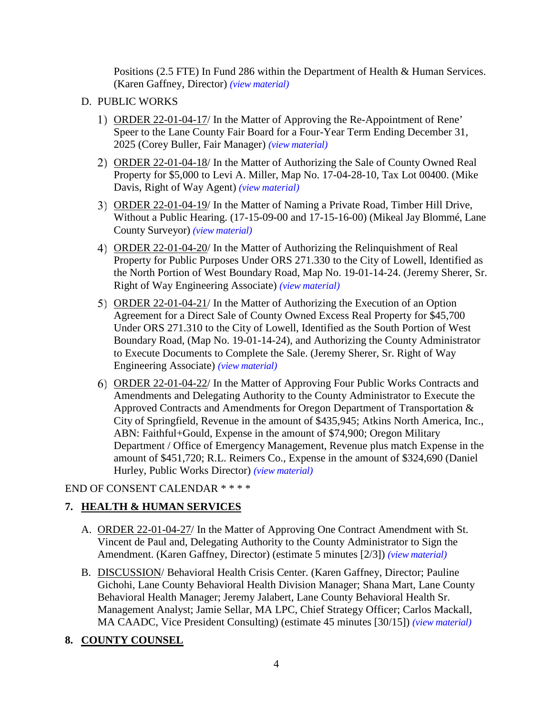Positions (2.5 FTE) In Fund 286 within the Department of Health & Human Services. (Karen Gaffney, Director) *(view [material\)](http://www.lanecountyor.gov/UserFiles/Servers/Server_3585797/File/Government/BCC/2022/2022_AGENDAS/010422agenda/T.6.C.2.pdf)*

- D. PUBLIC WORKS
	- ORDER 22-01-04-17/ In the Matter of Approving the Re-Appointment of Rene' Speer to the Lane County Fair Board for a Four-Year Term Ending December 31, 2025 (Corey Buller, Fair Manager) *(view [material\)](http://www.lanecountyor.gov/UserFiles/Servers/Server_3585797/File/Government/BCC/2022/2022_AGENDAS/010422agenda/T.6.D.1.pdf)*
	- 2) ORDER 22-01-04-18/ In the Matter of Authorizing the Sale of County Owned Real Property for \$5,000 to Levi A. Miller, Map No. 17-04-28-10, Tax Lot 00400. (Mike Davis, Right of Way Agent) *(view [material\)](http://www.lanecountyor.gov/UserFiles/Servers/Server_3585797/File/Government/BCC/2022/2022_AGENDAS/010422agenda/T.6.D.2.pdf)*
	- ORDER 22-01-04-19/ In the Matter of Naming a Private Road, Timber Hill Drive, Without a Public Hearing. (17-15-09-00 and 17-15-16-00) (Mikeal Jay Blommé, Lane County Surveyor) *(view [material\)](http://www.lanecountyor.gov/UserFiles/Servers/Server_3585797/File/Government/BCC/2022/2022_AGENDAS/010422agenda/T.6.D.3.pdf)*
	- ORDER 22-01-04-20/ In the Matter of Authorizing the Relinquishment of Real Property for Public Purposes Under ORS 271.330 to the City of Lowell, Identified as the North Portion of West Boundary Road, Map No. 19-01-14-24. (Jeremy Sherer, Sr. Right of Way Engineering Associate) *(view [material\)](http://www.lanecountyor.gov/UserFiles/Servers/Server_3585797/File/Government/BCC/2022/2022_AGENDAS/010422agenda/T.6.D.4.pdf)*
	- ORDER 22-01-04-21/ In the Matter of Authorizing the Execution of an Option Agreement for a Direct Sale of County Owned Excess Real Property for \$45,700 Under ORS 271.310 to the City of Lowell, Identified as the South Portion of West Boundary Road, (Map No. 19-01-14-24), and Authorizing the County Administrator to Execute Documents to Complete the Sale. (Jeremy Sherer, Sr. Right of Way Engineering Associate) *(view [material\)](http://www.lanecountyor.gov/UserFiles/Servers/Server_3585797/File/Government/BCC/2022/2022_AGENDAS/010422agenda/T.6.D.5.pdf)*
	- ORDER 22-01-04-22/ In the Matter of Approving Four Public Works Contracts and Amendments and Delegating Authority to the County Administrator to Execute the Approved Contracts and Amendments for Oregon Department of Transportation & City of Springfield, Revenue in the amount of \$435,945; Atkins North America, Inc., ABN: Faithful+Gould, Expense in the amount of \$74,900; Oregon Military Department / Office of Emergency Management, Revenue plus match Expense in the amount of \$451,720; R.L. Reimers Co., Expense in the amount of \$324,690 (Daniel Hurley, Public Works Director) *(view [material\)](http://www.lanecountyor.gov/UserFiles/Servers/Server_3585797/File/Government/BCC/2022/2022_AGENDAS/010422agenda/T.6.D.6.pdf)*

## END OF CONSENT CALENDAR \* \* \* \*

# **7. HEALTH & HUMAN SERVICES**

- A. ORDER 22-01-04-27/ In the Matter of Approving One Contract Amendment with St. Vincent de Paul and, Delegating Authority to the County Administrator to Sign the Amendment. (Karen Gaffney, Director) (estimate 5 minutes [2/3]) *(view [material\)](http://www.lanecountyor.gov/UserFiles/Servers/Server_3585797/File/Government/BCC/2022/2022_AGENDAS/010422agenda/T.7.A.pdf)*
- B. DISCUSSION/ Behavioral Health Crisis Center. (Karen Gaffney, Director; Pauline Gichohi, Lane County Behavioral Health Division Manager; Shana Mart, Lane County Behavioral Health Manager; Jeremy Jalabert, Lane County Behavioral Health Sr. Management Analyst; Jamie Sellar, MA LPC, Chief Strategy Officer; Carlos Mackall, MA CAADC, Vice President Consulting) (estimate 45 minutes [30/15]) *(view [material\)](http://www.lanecountyor.gov/UserFiles/Servers/Server_3585797/File/Government/BCC/2022/2022_AGENDAS/010422agenda/T.7.B.pdf)*

# **8. COUNTY COUNSEL**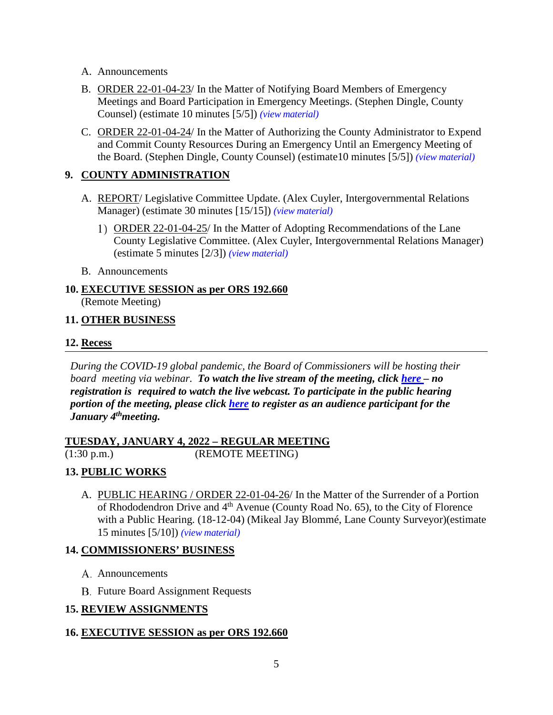- A. Announcements
- B. ORDER 22-01-04-23/ In the Matter of Notifying Board Members of Emergency Meetings and Board Participation in Emergency Meetings. (Stephen Dingle, County Counsel) (estimate 10 minutes [5/5]) *(view [material\)](http://www.lanecountyor.gov/UserFiles/Servers/Server_3585797/File/Government/BCC/2022/2022_AGENDAS/010422agenda/T.8.B.pdf)*
- C. ORDER 22-01-04-24/ In the Matter of Authorizing the County Administrator to Expend and Commit County Resources During an Emergency Until an Emergency Meeting of the Board. (Stephen Dingle, County Counsel) (estimate10 minutes [5/5]) *(view [material\)](http://www.lanecountyor.gov/UserFiles/Servers/Server_3585797/File/Government/BCC/2022/2022_AGENDAS/010422agenda/T.8.C.pdf)*

### **9. COUNTY ADMINISTRATION**

- A. REPORT/ Legislative Committee Update. (Alex Cuyler, Intergovernmental Relations Manager) (estimate 30 minutes [15/15]) *(view [material\)](http://www.lanecountyor.gov/UserFiles/Servers/Server_3585797/File/Government/BCC/2022/2022_AGENDAS/010422agenda/T.9.A.pdf)*
	- ORDER 22-01-04-25/ In the Matter of Adopting Recommendations of the Lane County Legislative Committee. (Alex Cuyler, Intergovernmental Relations Manager) (estimate 5 minutes [2/3]) *(view [material\)](http://www.lanecountyor.gov/UserFiles/Servers/Server_3585797/File/Government/BCC/2022/2022_AGENDAS/010422agenda/T.9.A.1.pdf)*
- B. Announcements

### **10. EXECUTIVE SESSION as per ORS 192.660**  (Remote Meeting)

### **11. OTHER BUSINESS**

### **12. Recess**

*During the COVID-19 global pandemic, the Board of Commissioners will be hosting their board meeting via webinar. To watch the live stream of the meeting, click [here](https://lanecounty.org/cms/One.aspx?portalId=3585881&pageId=7842434) – no registration is required to watch the live webcast. To participate in the public hearing portion of the meeting, please click [here](https://us06web.zoom.us/webinar/register/WN_PoYSElOyTt-Jb5a7bKSRTw) to register as an audience participant for the January 4thmeeting.*

#### **TUESDAY, JANUARY 4, 2022 – REGULAR MEETING** (1:30 p.m.) (REMOTE MEETING)

### **13. PUBLIC WORKS**

A. PUBLIC HEARING / ORDER 22-01-04-26/ In the Matter of the Surrender of a Portion of Rhododendron Drive and 4<sup>th</sup> Avenue (County Road No. 65), to the City of Florence with a Public Hearing. (18-12-04) (Mikeal Jay Blommé, Lane County Surveyor)(estimate 15 minutes [5/10]) *(view [material\)](http://www.lanecountyor.gov/UserFiles/Servers/Server_3585797/File/Government/BCC/2022/2022_AGENDAS/010422agenda/T.13.A.pdf)*

### **14. COMMISSIONERS' BUSINESS**

- A. Announcements
- **B.** Future Board Assignment Requests

### **15. REVIEW ASSIGNMENTS**

### **16. EXECUTIVE SESSION as per ORS 192.660**